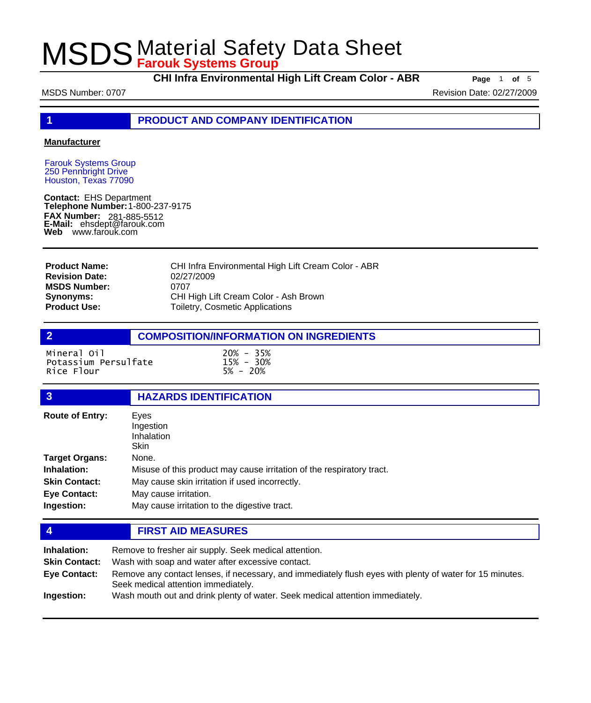**CHI Infra Environmental High Lift Cream Color - ABR Page** <sup>1</sup> **of** <sup>5</sup>

MSDS Number: 0707 Number: 0707 Number: 0707 Number: 02/27/2009

**1 PRODUCT AND COMPANY IDENTIFICATION**

#### **Manufacturer**

Farouk Systems Group 250 Pennbright Drive Houston, Texas 77090

**Contact:** EHS Department **Telephone Number:** 1-800-237-9175 **FAX Number: FAX Number:** 281-885-5512<br>**E-Mail:** ehsdept@farouk.com **Web** www.farouk.com

CHI Infra Environmental High Lift Cream Color - ABR 02/27/2009 0707 CHI High Lift Cream Color - Ash Brown Toiletry, Cosmetic Applications **Product Name: Revision Date: MSDS Number: Synonyms: Product Use:**

### **2 COMPOSITION/INFORMATION ON INGREDIENTS**

Mineral Oil 20% - 35% Potassium Persulfate 15% - 30% Rice Flour

### **3 HAZARDS IDENTIFICATION**

| <b>Route of Entry:</b> | Eyes<br>Ingestion<br>Inhalation<br><b>Skin</b>                        |  |
|------------------------|-----------------------------------------------------------------------|--|
| <b>Target Organs:</b>  | None.                                                                 |  |
| Inhalation:            | Misuse of this product may cause irritation of the respiratory tract. |  |
| <b>Skin Contact:</b>   | May cause skin irritation if used incorrectly.                        |  |
| <b>Eye Contact:</b>    | May cause irritation.                                                 |  |
| Ingestion:             | May cause irritation to the digestive tract.                          |  |

### **4 FIRST AID MEASURES**

| Inhalation:          | Remove to fresher air supply. Seek medical attention.                                                                |
|----------------------|----------------------------------------------------------------------------------------------------------------------|
| <b>Skin Contact:</b> | Wash with soap and water after excessive contact.                                                                    |
| <b>Eye Contact:</b>  | Remove any contact lenses, if necessary, and immediately flush eyes with plenty of water for 15 minutes.             |
| Ingestion:           | Seek medical attention immediately.<br>Wash mouth out and drink plenty of water. Seek medical attention immediately. |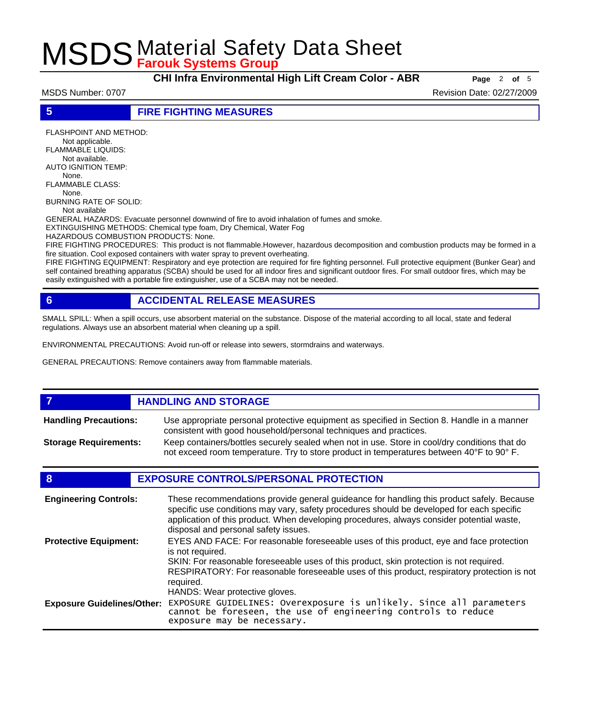**CHI Infra Environmental High Lift Cream Color - ABR Page** <sup>2</sup> **of** <sup>5</sup>

MSDS Number: 0707 **Revision Date: 02/27/2009** Revision Date: 02/27/2009

**5 FIRE FIGHTING MEASURES**

FLASHPOINT AND METHOD: Not applicable. FLAMMABLE LIQUIDS: Not available. AUTO IGNITION TEMP: None. FLAMMABLE CLASS: None. BURNING RATE OF SOLID: Not available

GENERAL HAZARDS: Evacuate personnel downwind of fire to avoid inhalation of fumes and smoke.

EXTINGUISHING METHODS: Chemical type foam, Dry Chemical, Water Fog

HAZARDOUS COMBUSTION PRODUCTS: None.

FIRE FIGHTING PROCEDURES: This product is not flammable.However, hazardous decomposition and combustion products may be formed in a fire situation. Cool exposed containers with water spray to prevent overheating.

FIRE FIGHTING EQUIPMENT: Respiratory and eye protection are required for fire fighting personnel. Full protective equipment (Bunker Gear) and self contained breathing apparatus (SCBA) should be used for all indoor fires and significant outdoor fires. For small outdoor fires, which may be easily extinguished with a portable fire extinguisher, use of a SCBA may not be needed.

## **6 ACCIDENTAL RELEASE MEASURES**

SMALL SPILL: When a spill occurs, use absorbent material on the substance. Dispose of the material according to all local, state and federal regulations. Always use an absorbent material when cleaning up a spill.

ENVIRONMENTAL PRECAUTIONS: Avoid run-off or release into sewers, stormdrains and waterways.

GENERAL PRECAUTIONS: Remove containers away from flammable materials.

#### *HANDLING AND STORAGE* Use appropriate personal protective equipment as specified in Section 8. Handle in a manner consistent with good household/personal techniques and practices. **Handling Precautions:** Keep containers/bottles securely sealed when not in use. Store in cool/dry conditions that do not exceed room temperature. Try to store product in temperatures between 40°F to 90° F. **Storage Requirements:**

### **8 EXPOSURE CONTROLS/PERSONAL PROTECTION**

| <b>Engineering Controls:</b>      | These recommendations provide general guideance for handling this product safely. Because<br>specific use conditions may vary, safety procedures should be developed for each specific<br>application of this product. When developing procedures, always consider potential waste,<br>disposal and personal safety issues. |
|-----------------------------------|-----------------------------------------------------------------------------------------------------------------------------------------------------------------------------------------------------------------------------------------------------------------------------------------------------------------------------|
| <b>Protective Equipment:</b>      | EYES AND FACE: For reasonable foreseeable uses of this product, eye and face protection<br>is not required.<br>SKIN: For reasonable foreseeable uses of this product, skin protection is not required.<br>RESPIRATORY: For reasonable foreseeable uses of this product, respiratory protection is not<br>required.          |
| <b>Exposure Guidelines/Other:</b> | HANDS: Wear protective gloves.<br>EXPOSURE GUIDELINES: Overexposure is unlikely. Since all parameters<br>cannot be foreseen, the use of engineering controls to reduce<br>exposure may be necessary.                                                                                                                        |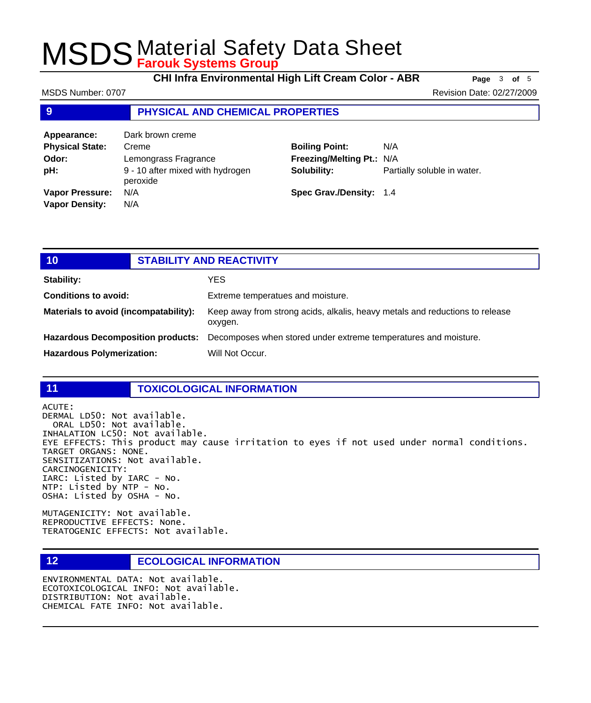**CHI Infra Environmental High Lift Cream Color - ABR Page** <sup>3</sup> **of** <sup>5</sup>

MSDS Number: 0707 Number: 0707 Number: 0707 Number: 02/27/2009

### **9 PHYSICAL AND CHEMICAL PROPERTIES**

| Appearance:            | Dark brown creme                             |                           |                             |
|------------------------|----------------------------------------------|---------------------------|-----------------------------|
| <b>Physical State:</b> | Creme                                        | <b>Boiling Point:</b>     | N/A                         |
| Odor:                  | Lemongrass Fragrance                         | Freezing/Melting Pt.: N/A |                             |
| pH:                    | 9 - 10 after mixed with hydrogen<br>peroxide | Solubility:               | Partially soluble in water. |
| <b>Vapor Pressure:</b> | N/A                                          | Spec Grav./Density: 1.4   |                             |
| <b>Vapor Density:</b>  | N/A                                          |                           |                             |

| 101                                      | <b>STABILITY AND REACTIVITY</b> |                                                                                         |
|------------------------------------------|---------------------------------|-----------------------------------------------------------------------------------------|
| <b>Stability:</b>                        |                                 | YES.                                                                                    |
| <b>Conditions to avoid:</b>              |                                 | Extreme temperatues and moisture.                                                       |
| Materials to avoid (incompatability):    |                                 | Keep away from strong acids, alkalis, heavy metals and reductions to release<br>oxygen. |
| <b>Hazardous Decomposition products:</b> |                                 | Decomposes when stored under extreme temperatures and moisture.                         |
| <b>Hazardous Polymerization:</b>         |                                 | Will Not Occur.                                                                         |

#### **11 TOXICOLOGICAL INFORMATION**

ACUTE:

DERMAL LD50: Not available. ORAL LD50: Not available. INHALATION LC50: Not available. EYE EFFECTS: This product may cause irritation to eyes if not used under normal conditions. TARGET ORGANS: NONE. SENSITIZATIONS: Not available. CARCINOGENICITY: IARC: Listed by IARC - No. NTP: Listed by NTP - No. OSHA: Listed by OSHA - No.

MUTAGENICITY: Not available. REPRODUCTIVE EFFECTS: None. TERATOGENIC EFFECTS: Not available.

### **12 ECOLOGICAL INFORMATION**

ENVIRONMENTAL DATA: Not available. ECOTOXICOLOGICAL INFO: Not available. DISTRIBUTION: Not available. CHEMICAL FATE INFO: Not available.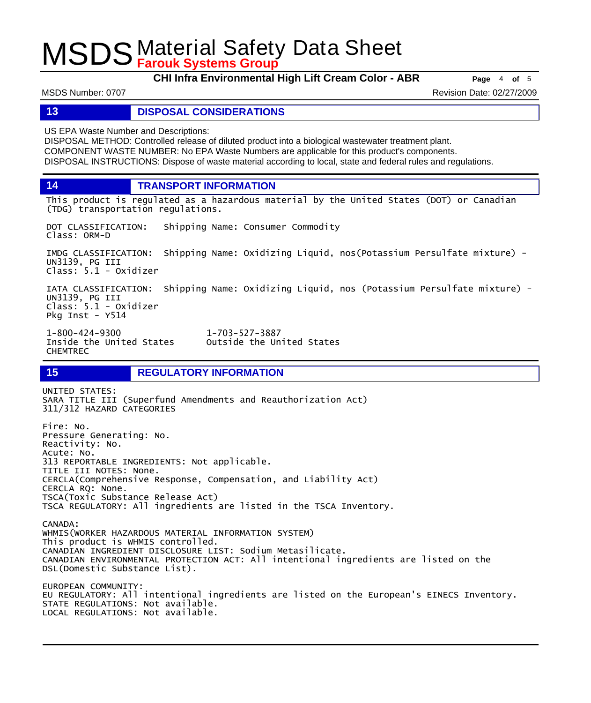**CHI Infra Environmental High Lift Cream Color - ABR Page** <sup>4</sup> **of** <sup>5</sup>

MSDS Number: 0707 **Revision Date: 02/27/2009** Revision Date: 02/27/2009

### **13 DISPOSAL CONSIDERATIONS**

US EPA Waste Number and Descriptions:

DISPOSAL METHOD: Controlled release of diluted product into a biological wastewater treatment plant. COMPONENT WASTE NUMBER: No EPA Waste Numbers are applicable for this product's components. DISPOSAL INSTRUCTIONS: Dispose of waste material according to local, state and federal rules and regulations.

**14 TRANSPORT INFORMATION**

This product is regulated as a hazardous material by the United States (DOT) or Canadian (TDG) transportation regulations.

DOT CLASSIFICATION: Shipping Name: Consumer Commodity Class: ORM-D

IMDG CLASSIFICATION: Shipping Name: Oxidizing Liquid, nos(Potassium Persulfate mixture) - UN3139, PG III Class: 5.1 - Oxidizer

IATA CLASSIFICATION: Shipping Name: Oxidizing Liquid, nos (Potassium Persulfate mixture) - UN3139, PG III Class: 5.1 - Oxidizer Pkg Inst - Y514

Outside the United States

1-800-424-9300 1-703-527-3887 CHEMTREC

**15 REGULATORY INFORMATION**

UNITED STATES: SARA TITLE III (Superfund Amendments and Reauthorization Act) 311/312 HAZARD CATEGORIES Fire: No. Pressure Generating: No. Reactivity: No. Acute: No. 313 REPORTABLE INGREDIENTS: Not applicable. TITLE III NOTES: None. CERCLA(Comprehensive Response, Compensation, and Liability Act) CERCLA RQ: None. TSCA(Toxic Substance Release Act) TSCA REGULATORY: All ingredients are listed in the TSCA Inventory. CANADA: WHMIS(WORKER HAZARDOUS MATERIAL INFORMATION SYSTEM) This product is WHMIS controlled. CANADIAN INGREDIENT DISCLOSURE LIST: Sodium Metasilicate. CANADIAN ENVIRONMENTAL PROTECTION ACT: All intentional ingredients are listed on the DSL(Domestic Substance List). EUROPEAN COMMUNITY: EU REGULATORY: All intentional ingredients are listed on the European's EINECS Inventory. STATE REGULATIONS: Not available.

LOCAL REGULATIONS: Not available.